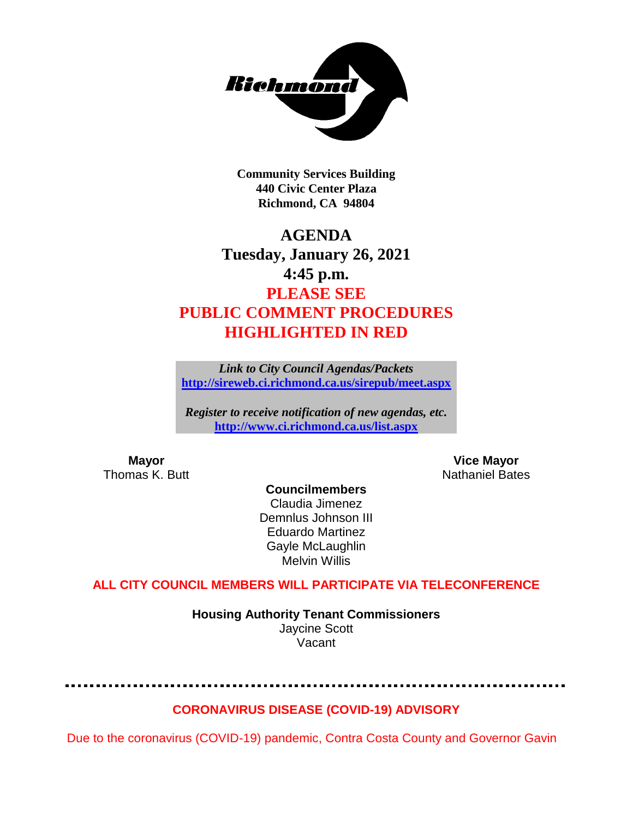

**Community Services Building 440 Civic Center Plaza Richmond, CA 94804**

# **AGENDA Tuesday, January 26, 2021 4:45 p.m. PLEASE SEE PUBLIC COMMENT PROCEDURES HIGHLIGHTED IN RED**

*Link to City Council Agendas/Packets* **<http://sireweb.ci.richmond.ca.us/sirepub/meet.aspx>**

*Register to receive notification of new agendas, etc.* **<http://www.ci.richmond.ca.us/list.aspx>**

**Mayor Mayor Wice Mayor Vice Mayor Vice Mayor Vice Mayor Vice Mayor Vice Mayor Vice Mayor Vice Mayor Vice Mayor Vice Mayor Vice Mayor Vice Mayor Vice Mayor Vice Mayor Vice Mayor Vice Mayor** Nathaniel Bates

**Councilmembers** Claudia Jimenez Demnlus Johnson III Eduardo Martinez Gayle McLaughlin Melvin Willis

# **ALL CITY COUNCIL MEMBERS WILL PARTICIPATE VIA TELECONFERENCE**

**Housing Authority Tenant Commissioners** Jaycine Scott Vacant

#### **CORONAVIRUS DISEASE (COVID-19) ADVISORY**

Due to the coronavirus (COVID-19) pandemic, Contra Costa County and Governor Gavin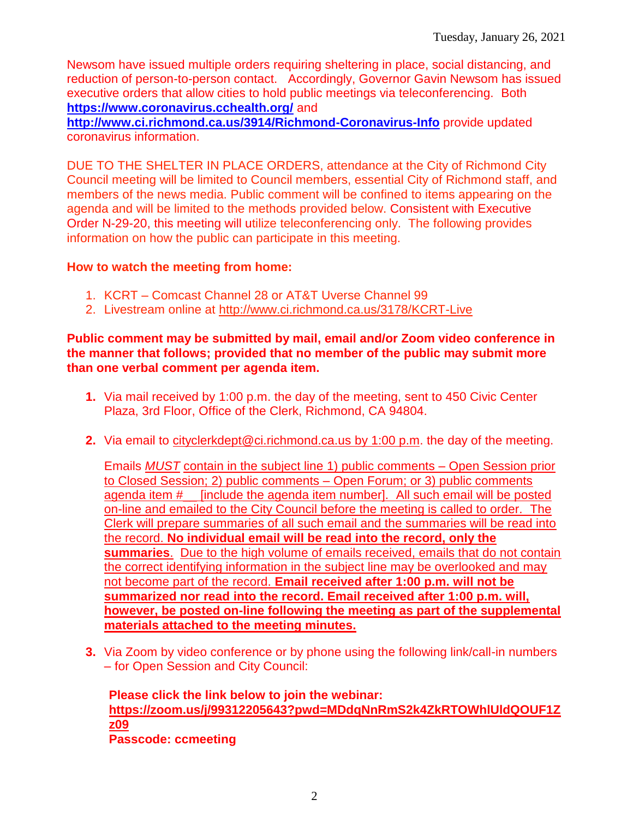Newsom have issued multiple orders requiring sheltering in place, social distancing, and reduction of person-to-person contact. Accordingly, Governor Gavin Newsom has issued executive orders that allow cities to hold public meetings via teleconferencing. Both **<https://www.coronavirus.cchealth.org/>** and

**<http://www.ci.richmond.ca.us/3914/Richmond-Coronavirus-Info>** provide updated coronavirus information.

DUE TO THE SHELTER IN PLACE ORDERS, attendance at the City of Richmond City Council meeting will be limited to Council members, essential City of Richmond staff, and members of the news media. Public comment will be confined to items appearing on the agenda and will be limited to the methods provided below. Consistent with Executive Order N-29-20, this meeting will utilize teleconferencing only. The following provides information on how the public can participate in this meeting.

#### **How to watch the meeting from home:**

- 1. KCRT Comcast Channel 28 or AT&T Uverse Channel 99
- 2. Livestream online at<http://www.ci.richmond.ca.us/3178/KCRT-Live>

#### **Public comment may be submitted by mail, email and/or Zoom video conference in the manner that follows; provided that no member of the public may submit more than one verbal comment per agenda item.**

- **1.** Via mail received by 1:00 p.m. the day of the meeting, sent to 450 Civic Center Plaza, 3rd Floor, Office of the Clerk, Richmond, CA 94804.
- **2.** Via email to [cityclerkdept@ci.richmond.ca.us](mailto:cityclerkdept@ci.richmond.ca.us) by 1:00 p.m. the day of the meeting.

Emails *MUST* contain in the subject line 1) public comments – Open Session prior to Closed Session; 2) public comments – Open Forum; or 3) public comments agenda item #\_\_ [include the agenda item number]. All such email will be posted on-line and emailed to the City Council before the meeting is called to order. The Clerk will prepare summaries of all such email and the summaries will be read into the record. **No individual email will be read into the record, only the summaries**. Due to the high volume of emails received, emails that do not contain the correct identifying information in the subject line may be overlooked and may not become part of the record. **Email received after 1:00 p.m. will not be summarized nor read into the record. Email received after 1:00 p.m. will, however, be posted on-line following the meeting as part of the supplemental materials attached to the meeting minutes.**

**3.** Via Zoom by video conference or by phone using the following link/call-in numbers – for Open Session and City Council:

**Please click the link below to join the webinar: [https://zoom.us/j/99312205643?pwd=MDdqNnRmS2k4ZkRTOWhlUldQOUF1Z](https://zoom.us/j/99312205643?pwd=MDdqNnRmS2k4ZkRTOWhlUldQOUF1Zz09) [z09](https://zoom.us/j/99312205643?pwd=MDdqNnRmS2k4ZkRTOWhlUldQOUF1Zz09) Passcode: ccmeeting**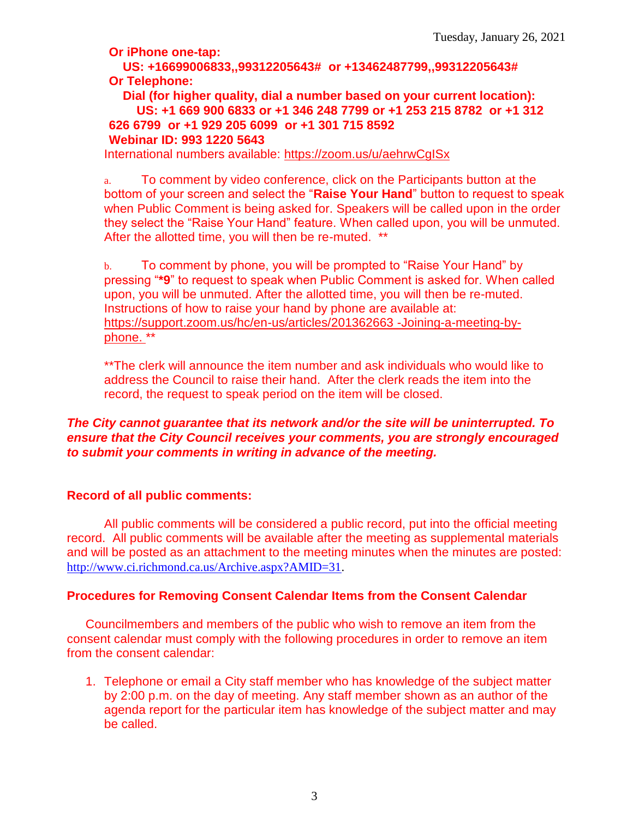**Or iPhone one-tap:**

**US: +16699006833,,99312205643# or +13462487799,,99312205643# Or Telephone:**

**Dial (for higher quality, dial a number based on your current location): US: +1 669 900 6833 or +1 346 248 7799 or +1 253 215 8782 or +1 312 626 6799 or +1 929 205 6099 or +1 301 715 8592 Webinar ID: 993 1220 5643**

International numbers available:<https://zoom.us/u/aehrwCgISx>

a. To comment by video conference, click on the Participants button at the bottom of your screen and select the "**Raise Your Hand**" button to request to speak when Public Comment is being asked for. Speakers will be called upon in the order they select the "Raise Your Hand" feature. When called upon, you will be unmuted. After the allotted time, you will then be re-muted. \*\*

b. To comment by phone, you will be prompted to "Raise Your Hand" by pressing "**\*9**" to request to speak when Public Comment is asked for. When called upon, you will be unmuted. After the allotted time, you will then be re-muted. Instructions of how to raise your hand by phone are available at: [https://support.zoom.us/hc/en-us/articles/201362663 -Joining-a-meeting-by](https://support.zoom.us/hc/en-us/articles/201362663)[phone.](https://support.zoom.us/hc/en-us/articles/201362663) \*\*

\*\*The clerk will announce the item number and ask individuals who would like to address the Council to raise their hand. After the clerk reads the item into the record, the request to speak period on the item will be closed.

#### *The City cannot guarantee that its network and/or the site will be uninterrupted. To ensure that the City Council receives your comments, you are strongly encouraged to submit your comments in writing in advance of the meeting.*

#### **Record of all public comments:**

All public comments will be considered a public record, put into the official meeting record. All public comments will be available after the meeting as supplemental materials and will be posted as an attachment to the meeting minutes when the minutes are posted: [http://www.ci.richmond.ca.us/Archive.aspx?AMID=31.](http://www.ci.richmond.ca.us/Archive.aspx?AMID=31)

# **Procedures for Removing Consent Calendar Items from the Consent Calendar**

Councilmembers and members of the public who wish to remove an item from the consent calendar must comply with the following procedures in order to remove an item from the consent calendar:

1. Telephone or email a City staff member who has knowledge of the subject matter by 2:00 p.m. on the day of meeting. Any staff member shown as an author of the agenda report for the particular item has knowledge of the subject matter and may be called.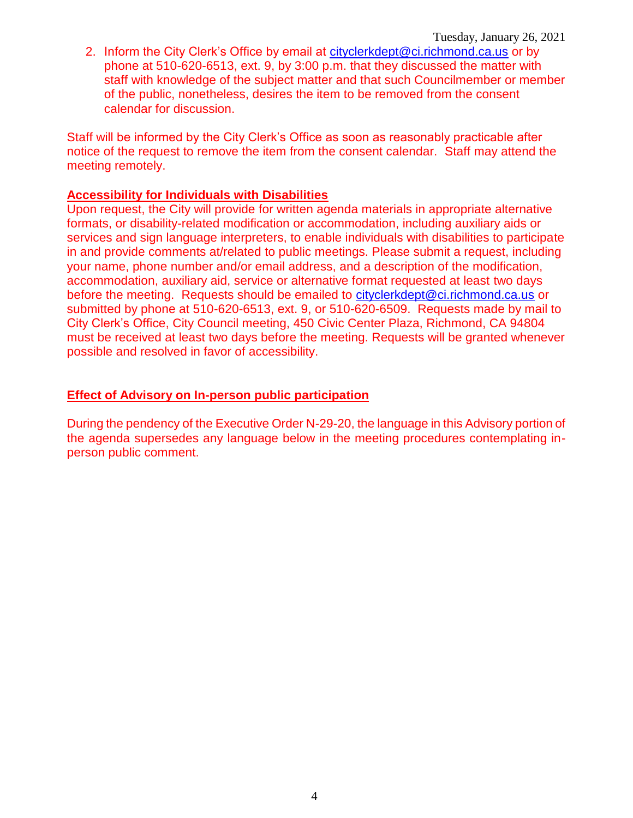2. Inform the City Clerk's Office by email at [cityclerkdept@ci.richmond.ca.us](mailto:cityclerkdept@ci.richmond.ca.us) or by phone at 510-620-6513, ext. 9, by 3:00 p.m. that they discussed the matter with staff with knowledge of the subject matter and that such Councilmember or member of the public, nonetheless, desires the item to be removed from the consent calendar for discussion.

Staff will be informed by the City Clerk's Office as soon as reasonably practicable after notice of the request to remove the item from the consent calendar. Staff may attend the meeting remotely.

#### **Accessibility for Individuals with Disabilities**

Upon request, the City will provide for written agenda materials in appropriate alternative formats, or disability-related modification or accommodation, including auxiliary aids or services and sign language interpreters, to enable individuals with disabilities to participate in and provide comments at/related to public meetings. Please submit a request, including your name, phone number and/or email address, and a description of the modification, accommodation, auxiliary aid, service or alternative format requested at least two days before the meeting. Requests should be emailed to [cityclerkdept@ci.richmond.ca.us](mailto:cityclerkdept@ci.richmond.ca.us) or submitted by phone at 510-620-6513, ext. 9, or 510-620-6509. Requests made by mail to City Clerk's Office, City Council meeting, 450 Civic Center Plaza, Richmond, CA 94804 must be received at least two days before the meeting. Requests will be granted whenever possible and resolved in favor of accessibility.

### **Effect of Advisory on In-person public participation**

During the pendency of the Executive Order N-29-20, the language in this Advisory portion of the agenda supersedes any language below in the meeting procedures contemplating inperson public comment.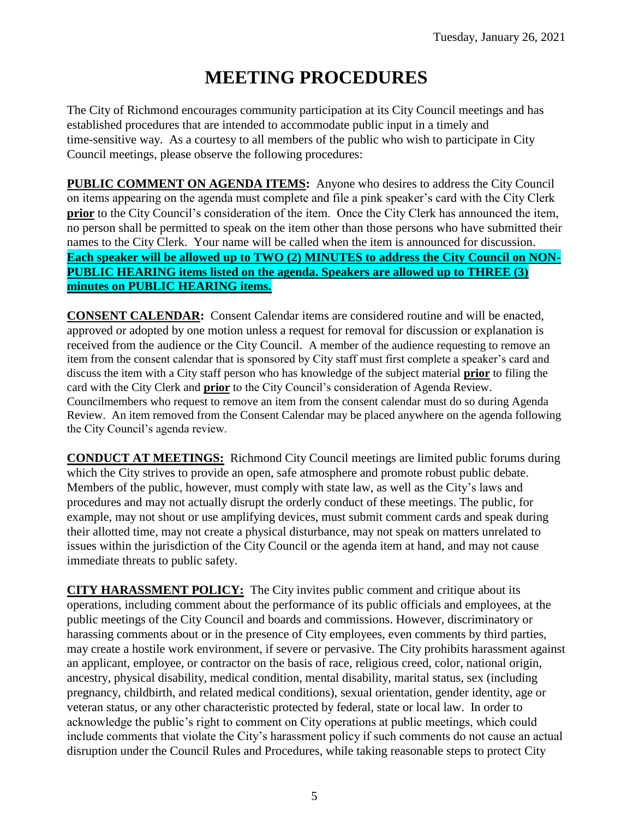# **MEETING PROCEDURES**

The City of Richmond encourages community participation at its City Council meetings and has established procedures that are intended to accommodate public input in a timely and time-sensitive way. As a courtesy to all members of the public who wish to participate in City Council meetings, please observe the following procedures:

**PUBLIC COMMENT ON AGENDA ITEMS:** Anyone who desires to address the City Council on items appearing on the agenda must complete and file a pink speaker's card with the City Clerk **prior** to the City Council's consideration of the item. Once the City Clerk has announced the item, no person shall be permitted to speak on the item other than those persons who have submitted their names to the City Clerk. Your name will be called when the item is announced for discussion. **Each speaker will be allowed up to TWO (2) MINUTES to address the City Council on NON-PUBLIC HEARING items listed on the agenda. Speakers are allowed up to THREE (3) minutes on PUBLIC HEARING items.**

**CONSENT CALENDAR:** Consent Calendar items are considered routine and will be enacted, approved or adopted by one motion unless a request for removal for discussion or explanation is received from the audience or the City Council. A member of the audience requesting to remove an item from the consent calendar that is sponsored by City staff must first complete a speaker's card and discuss the item with a City staff person who has knowledge of the subject material **prior** to filing the card with the City Clerk and **prior** to the City Council's consideration of Agenda Review. Councilmembers who request to remove an item from the consent calendar must do so during Agenda Review. An item removed from the Consent Calendar may be placed anywhere on the agenda following the City Council's agenda review.

**CONDUCT AT MEETINGS:** Richmond City Council meetings are limited public forums during which the City strives to provide an open, safe atmosphere and promote robust public debate. Members of the public, however, must comply with state law, as well as the City's laws and procedures and may not actually disrupt the orderly conduct of these meetings. The public, for example, may not shout or use amplifying devices, must submit comment cards and speak during their allotted time, may not create a physical disturbance, may not speak on matters unrelated to issues within the jurisdiction of the City Council or the agenda item at hand, and may not cause immediate threats to public safety.

**CITY HARASSMENT POLICY:** The City invites public comment and critique about its operations, including comment about the performance of its public officials and employees, at the public meetings of the City Council and boards and commissions. However, discriminatory or harassing comments about or in the presence of City employees, even comments by third parties, may create a hostile work environment, if severe or pervasive. The City prohibits harassment against an applicant, employee, or contractor on the basis of race, religious creed, color, national origin, ancestry, physical disability, medical condition, mental disability, marital status, sex (including pregnancy, childbirth, and related medical conditions), sexual orientation, gender identity, age or veteran status, or any other characteristic protected by federal, state or local law. In order to acknowledge the public's right to comment on City operations at public meetings, which could include comments that violate the City's harassment policy if such comments do not cause an actual disruption under the Council Rules and Procedures, while taking reasonable steps to protect City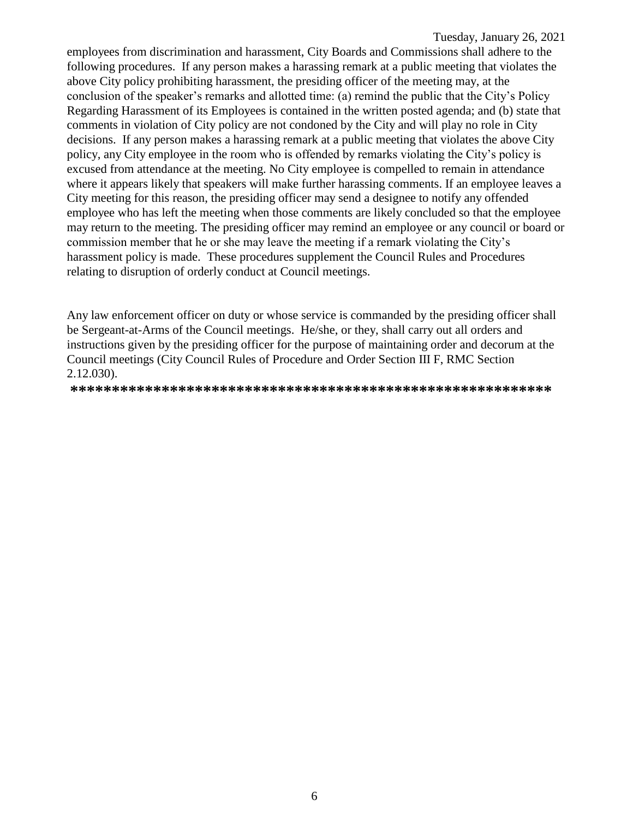employees from discrimination and harassment, City Boards and Commissions shall adhere to the following procedures. If any person makes a harassing remark at a public meeting that violates the above City policy prohibiting harassment, the presiding officer of the meeting may, at the conclusion of the speaker's remarks and allotted time: (a) remind the public that the City's Policy Regarding Harassment of its Employees is contained in the written posted agenda; and (b) state that comments in violation of City policy are not condoned by the City and will play no role in City decisions. If any person makes a harassing remark at a public meeting that violates the above City policy, any City employee in the room who is offended by remarks violating the City's policy is excused from attendance at the meeting. No City employee is compelled to remain in attendance where it appears likely that speakers will make further harassing comments. If an employee leaves a City meeting for this reason, the presiding officer may send a designee to notify any offended employee who has left the meeting when those comments are likely concluded so that the employee may return to the meeting. The presiding officer may remind an employee or any council or board or commission member that he or she may leave the meeting if a remark violating the City's harassment policy is made. These procedures supplement the Council Rules and Procedures relating to disruption of orderly conduct at Council meetings.

Any law enforcement officer on duty or whose service is commanded by the presiding officer shall be Sergeant-at-Arms of the Council meetings. He/she, or they, shall carry out all orders and instructions given by the presiding officer for the purpose of maintaining order and decorum at the Council meetings (City Council Rules of Procedure and Order Section III F, RMC Section 2.12.030).

**\*\*\*\*\*\*\*\*\*\*\*\*\*\*\*\*\*\*\*\*\*\*\*\*\*\*\*\*\*\*\*\*\*\*\*\*\*\*\*\*\*\*\*\*\*\*\*\*\*\*\*\*\*\*\*\*\*\***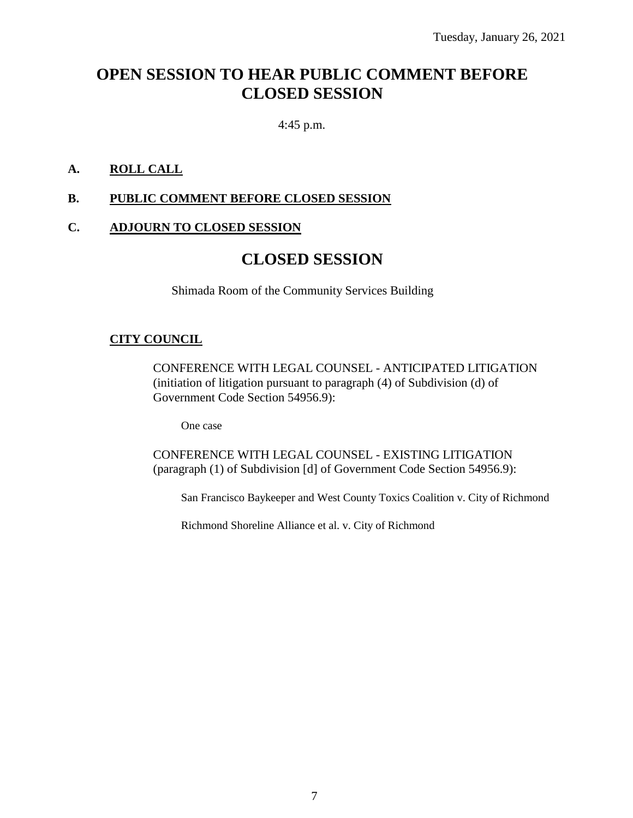# **OPEN SESSION TO HEAR PUBLIC COMMENT BEFORE CLOSED SESSION**

4:45 p.m.

# **A. ROLL CALL**

### **B. PUBLIC COMMENT BEFORE CLOSED SESSION**

### **C. ADJOURN TO CLOSED SESSION**

# **CLOSED SESSION**

Shimada Room of the Community Services Building

# **CITY COUNCIL**

CONFERENCE WITH LEGAL COUNSEL - ANTICIPATED LITIGATION (initiation of litigation pursuant to paragraph (4) of Subdivision (d) of Government Code Section 54956.9):

One case

CONFERENCE WITH LEGAL COUNSEL - EXISTING LITIGATION (paragraph (1) of Subdivision [d] of Government Code Section 54956.9):

San Francisco Baykeeper and West County Toxics Coalition v. City of Richmond

Richmond Shoreline Alliance et al. v. City of Richmond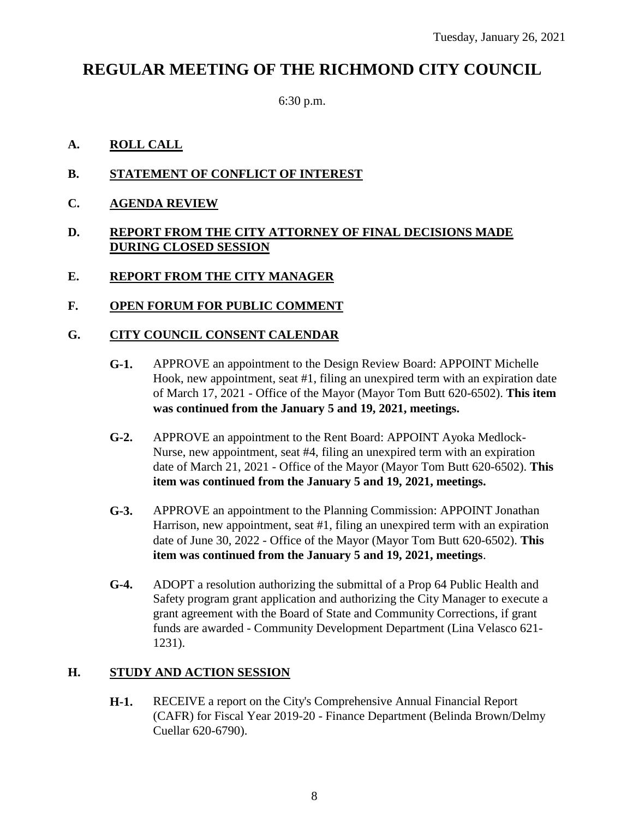# **REGULAR MEETING OF THE RICHMOND CITY COUNCIL**

6:30 p.m.

### **A. ROLL CALL**

- **B. STATEMENT OF CONFLICT OF INTEREST**
- **C. AGENDA REVIEW**

#### **D. REPORT FROM THE CITY ATTORNEY OF FINAL DECISIONS MADE DURING CLOSED SESSION**

- **E. REPORT FROM THE CITY MANAGER**
- **F. OPEN FORUM FOR PUBLIC COMMENT**

# **G. CITY COUNCIL CONSENT CALENDAR**

- **G-1.** APPROVE an appointment to the Design Review Board: APPOINT Michelle Hook, new appointment, seat #1, filing an unexpired term with an expiration date of March 17, 2021 - Office of the Mayor (Mayor Tom Butt 620-6502). **This item was continued from the January 5 and 19, 2021, meetings.**
- **G-2.** APPROVE an appointment to the Rent Board: APPOINT Ayoka Medlock-Nurse, new appointment, seat #4, filing an unexpired term with an expiration date of March 21, 2021 - Office of the Mayor (Mayor Tom Butt 620-6502). **This item was continued from the January 5 and 19, 2021, meetings.**
- **G-3.** APPROVE an appointment to the Planning Commission: APPOINT Jonathan Harrison, new appointment, seat #1, filing an unexpired term with an expiration date of June 30, 2022 - Office of the Mayor (Mayor Tom Butt 620-6502). **This item was continued from the January 5 and 19, 2021, meetings**.
- **G-4.** ADOPT a resolution authorizing the submittal of a Prop 64 Public Health and Safety program grant application and authorizing the City Manager to execute a grant agreement with the Board of State and Community Corrections, if grant funds are awarded - Community Development Department (Lina Velasco 621- 1231).

#### **H. STUDY AND ACTION SESSION**

**H-1.** RECEIVE a report on the City's Comprehensive Annual Financial Report (CAFR) for Fiscal Year 2019-20 - Finance Department (Belinda Brown/Delmy Cuellar 620-6790).